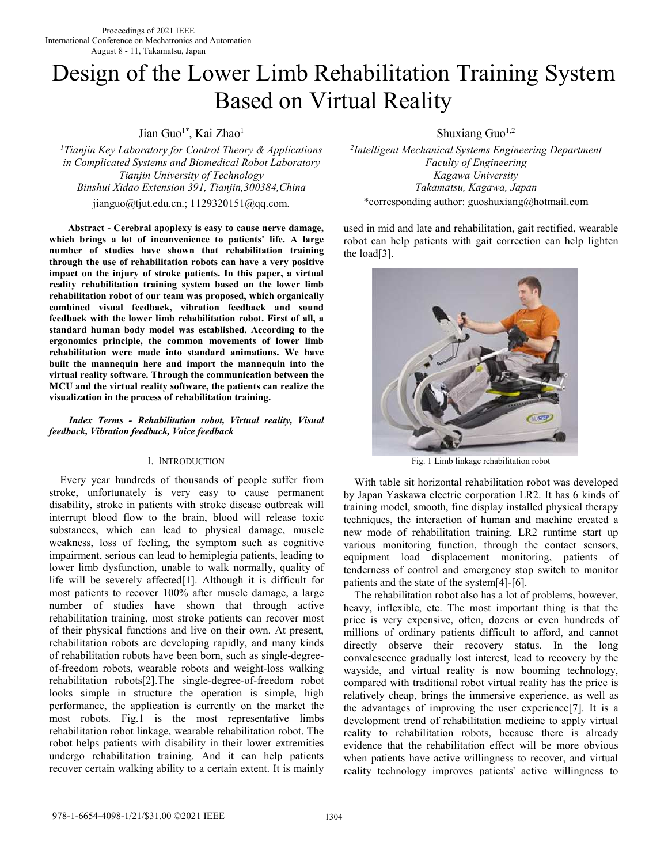# Design of the Lower Limb Rehabilitation Training System Based on Virtual Reality

Jian Guo<sup>1\*</sup>, Kai Zhao<sup>1</sup> Shuxiang Guo<sup>1,2</sup>

*<sup>1</sup>Tianjin Key Laboratory for Control Theory & Applications in Complicated Systems and Biomedical Robot Laboratory Tianjin University of Technology Binshui Xidao Extension 391, Tianjin,300384,China Takamatsu, Kagawa, Japan* 

**Abstract - Cerebral apoplexy is easy to cause nerve damage, which brings a lot of inconvenience to patients' life. A large number of studies have shown that rehabilitation training through the use of rehabilitation robots can have a very positive impact on the injury of stroke patients. In this paper, a virtual reality rehabilitation training system based on the lower limb rehabilitation robot of our team was proposed, which organically combined visual feedback, vibration feedback and sound feedback with the lower limb rehabilitation robot. First of all, a standard human body model was established. According to the ergonomics principle, the common movements of lower limb rehabilitation were made into standard animations. We have built the mannequin here and import the mannequin into the virtual reality software. Through the communication between the MCU and the virtual reality software, the patients can realize the visualization in the process of rehabilitation training.** 

*Index Terms - Rehabilitation robot, Virtual reality, Visual feedback, Vibration feedback, Voice feedback* 

# I. INTRODUCTION

Every year hundreds of thousands of people suffer from stroke, unfortunately is very easy to cause permanent disability, stroke in patients with stroke disease outbreak will interrupt blood flow to the brain, blood will release toxic substances, which can lead to physical damage, muscle weakness, loss of feeling, the symptom such as cognitive impairment, serious can lead to hemiplegia patients, leading to lower limb dysfunction, unable to walk normally, quality of life will be severely affected[1]. Although it is difficult for most patients to recover 100% after muscle damage, a large number of studies have shown that through active rehabilitation training, most stroke patients can recover most of their physical functions and live on their own. At present, rehabilitation robots are developing rapidly, and many kinds of rehabilitation robots have been born, such as single-degreeof-freedom robots, wearable robots and weight-loss walking rehabilitation robots[2].The single-degree-of-freedom robot looks simple in structure the operation is simple, high performance, the application is currently on the market the most robots. Fig.1 is the most representative limbs rehabilitation robot linkage, wearable rehabilitation robot. The robot helps patients with disability in their lower extremities undergo rehabilitation training. And it can help patients recover certain walking ability to a certain extent. It is mainly

*2 Intelligent Mechanical Systems Engineering Department Faculty of Engineering*  jianguo@tjut.edu.cn.; 1129320151@qq.com. \*corresponding author: guoshuxiang@hotmail.com

> used in mid and late and rehabilitation, gait rectified, wearable robot can help patients with gait correction can help lighten the load[3].



Fig. 1 Limb linkage rehabilitation robot

With table sit horizontal rehabilitation robot was developed by Japan Yaskawa electric corporation LR2. It has 6 kinds of training model, smooth, fine display installed physical therapy techniques, the interaction of human and machine created a new mode of rehabilitation training. LR2 runtime start up various monitoring function, through the contact sensors, equipment load displacement monitoring, patients of tenderness of control and emergency stop switch to monitor patients and the state of the system[4]-[6].

The rehabilitation robot also has a lot of problems, however, heavy, inflexible, etc. The most important thing is that the price is very expensive, often, dozens or even hundreds of millions of ordinary patients difficult to afford, and cannot directly observe their recovery status. In the long convalescence gradually lost interest, lead to recovery by the wayside, and virtual reality is now booming technology, compared with traditional robot virtual reality has the price is relatively cheap, brings the immersive experience, as well as the advantages of improving the user experience[7]. It is a development trend of rehabilitation medicine to apply virtual reality to rehabilitation robots, because there is already evidence that the rehabilitation effect will be more obvious when patients have active willingness to recover, and virtual reality technology improves patients' active willingness to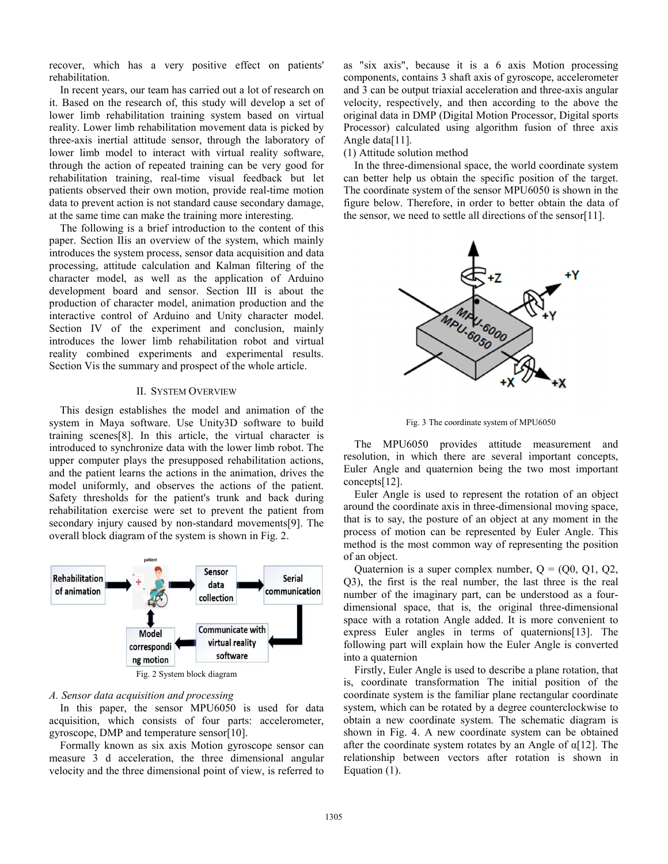recover, which has a very positive effect on patients' rehabilitation.

In recent years, our team has carried out a lot of research on it. Based on the research of, this study will develop a set of lower limb rehabilitation training system based on virtual reality. Lower limb rehabilitation movement data is picked by three-axis inertial attitude sensor, through the laboratory of lower limb model to interact with virtual reality software, through the action of repeated training can be very good for rehabilitation training, real-time visual feedback but let patients observed their own motion, provide real-time motion data to prevent action is not standard cause secondary damage, at the same time can make the training more interesting.

The following is a brief introduction to the content of this paper. Section Ⅱis an overview of the system, which mainly introduces the system process, sensor data acquisition and data processing, attitude calculation and Kalman filtering of the character model, as well as the application of Arduino development board and sensor. Section Ⅲ is about the production of character model, animation production and the interactive control of Arduino and Unity character model. Section IV of the experiment and conclusion, mainly introduces the lower limb rehabilitation robot and virtual reality combined experiments and experimental results. Section Vis the summary and prospect of the whole article.

# II. SYSTEM OVERVIEW

This design establishes the model and animation of the system in Maya software. Use Unity3D software to build training scenes[8]. In this article, the virtual character is introduced to synchronize data with the lower limb robot. The upper computer plays the presupposed rehabilitation actions, and the patient learns the actions in the animation, drives the model uniformly, and observes the actions of the patient. Safety thresholds for the patient's trunk and back during rehabilitation exercise were set to prevent the patient from secondary injury caused by non-standard movements[9]. The overall block diagram of the system is shown in Fig. 2.



## *A. Sensor data acquisition and processing*

In this paper, the sensor MPU6050 is used for data acquisition, which consists of four parts: accelerometer, gyroscope, DMP and temperature sensor[10].

Formally known as six axis Motion gyroscope sensor can measure 3 d acceleration, the three dimensional angular velocity and the three dimensional point of view, is referred to as "six axis", because it is a 6 axis Motion processing components, contains 3 shaft axis of gyroscope, accelerometer and 3 can be output triaxial acceleration and three-axis angular velocity, respectively, and then according to the above the original data in DMP (Digital Motion Processor, Digital sports Processor) calculated using algorithm fusion of three axis Angle data[11].

## (1) Attitude solution method

In the three-dimensional space, the world coordinate system can better help us obtain the specific position of the target. The coordinate system of the sensor MPU6050 is shown in the figure below. Therefore, in order to better obtain the data of the sensor, we need to settle all directions of the sensor[11].



Fig. 3 The coordinate system of MPU6050

The MPU6050 provides attitude measurement and resolution, in which there are several important concepts, Euler Angle and quaternion being the two most important concepts[12].

Euler Angle is used to represent the rotation of an object around the coordinate axis in three-dimensional moving space, that is to say, the posture of an object at any moment in the process of motion can be represented by Euler Angle. This method is the most common way of representing the position of an object.

Quaternion is a super complex number,  $Q = (Q0, Q1, Q2,$ Q3), the first is the real number, the last three is the real number of the imaginary part, can be understood as a fourdimensional space, that is, the original three-dimensional space with a rotation Angle added. It is more convenient to express Euler angles in terms of quaternions[13]. The following part will explain how the Euler Angle is converted into a quaternion

Firstly, Euler Angle is used to describe a plane rotation, that is, coordinate transformation The initial position of the coordinate system is the familiar plane rectangular coordinate system, which can be rotated by a degree counterclockwise to obtain a new coordinate system. The schematic diagram is shown in Fig. 4. A new coordinate system can be obtained after the coordinate system rotates by an Angle of α[12]. The relationship between vectors after rotation is shown in Equation (1).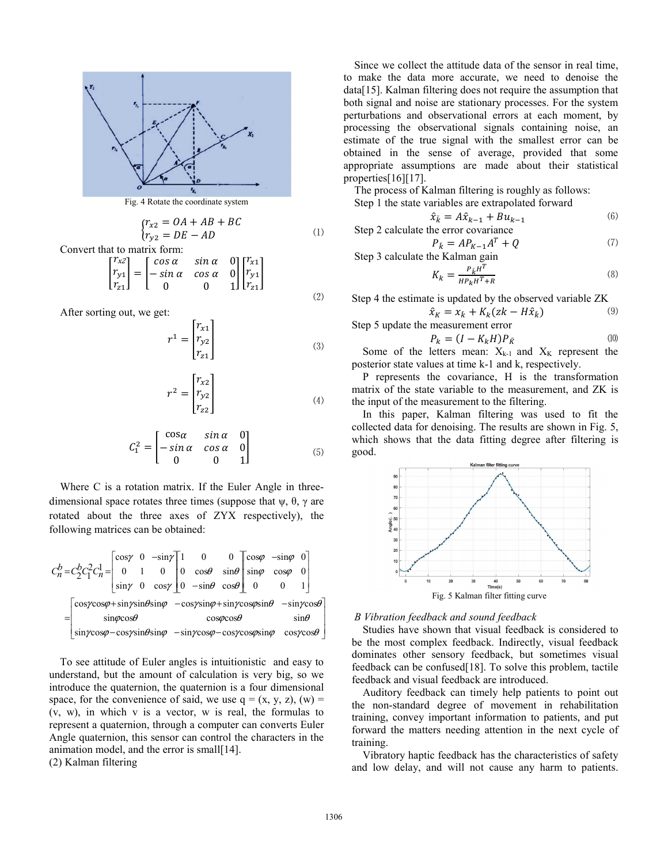

Fig. 4 Rotate the coordinate system

$$
\begin{cases}\nr_{x2} = OA + AB + BC \\
r_{y2} = DE - AD\n\end{cases} \tag{1}
$$

Convert that to matrix form:

$$
\begin{bmatrix} r_{x2} \\ r_{y1} \\ r_{z1} \end{bmatrix} = \begin{bmatrix} \cos \alpha & \sin \alpha & 0 \\ -\sin \alpha & \cos \alpha & 0 \\ 0 & 0 & 1 \end{bmatrix} \begin{bmatrix} r_{x1} \\ r_{y1} \\ r_{z1} \end{bmatrix}
$$

After sorting out, we get:

$$
r^{1} = \begin{bmatrix} r_{x1} \\ r_{y2} \\ r_{z1} \end{bmatrix}
$$
 (3)

⑵

$$
r^2 = \begin{bmatrix} r_{x2} \\ r_{y2} \\ r_{z2} \end{bmatrix} \tag{4}
$$

$$
C_1^2 = \begin{bmatrix} \cos \alpha & \sin \alpha & 0 \\ -\sin \alpha & \cos \alpha & 0 \\ 0 & 0 & 1 \end{bmatrix} \tag{5}
$$

Where C is a rotation matrix. If the Euler Angle in threedimensional space rotates three times (suppose that  $\psi$ ,  $\theta$ ,  $\gamma$  are rotated about the three axes of ZYX respectively), the following matrices can be obtained:

$$
C_n^b = C_2^b C_1^2 C_n^1 = \begin{bmatrix} \cos\gamma & 0 & -\sin\gamma \\ 0 & 1 & 0 \\ \sin\gamma & 0 & \cos\gamma \end{bmatrix} \begin{bmatrix} 1 & 0 & 0 \\ 0 & \cos\theta & \sin\theta \\ 0 & -\sin\theta & \cos\theta \end{bmatrix} \begin{bmatrix} \cos\varphi & -\sin\varphi & 0 \\ \sin\varphi & \cos\varphi & 0 \\ 0 & 0 & 1 \end{bmatrix}
$$

$$
= \begin{bmatrix} \cos\gamma\cos\varphi + \sin\gamma\sin\theta\sin\varphi & -\cos\gamma\sin\varphi + \sin\gamma\cos\varphi\sin\theta & -\sin\gamma\cos\theta \\ \sin\gamma\cos\varphi - \cos\gamma\sin\theta\sin\varphi & -\sin\gamma\cos\varphi - \cos\gamma\cos\varphi\sin\varphi & \cos\gamma\cos\theta \end{bmatrix}
$$

To see attitude of Euler angles is intuitionistic and easy to understand, but the amount of calculation is very big, so we introduce the quaternion, the quaternion is a four dimensional space, for the convenience of said, we use  $q = (x, y, z)$ ,  $(w) =$ (v, w), in which v is a vector, w is real, the formulas to represent a quaternion, through a computer can converts Euler Angle quaternion, this sensor can control the characters in the animation model, and the error is small[14].

(2) Kalman filtering

Since we collect the attitude data of the sensor in real time, to make the data more accurate, we need to denoise the data[15]. Kalman filtering does not require the assumption that both signal and noise are stationary processes. For the system perturbations and observational errors at each moment, by processing the observational signals containing noise, an estimate of the true signal with the smallest error can be obtained in the sense of average, provided that some appropriate assumptions are made about their statistical properties[16][17].

The process of Kalman filtering is roughly as follows:

Step 1 the state variables are extrapolated forward

$$
\hat{x}_{\bar{k}} = A\hat{x}_{k-1} + Bu_{k-1}
$$
\nStep 2 calculate the error covariance

\n
$$
(6)
$$

 $P_{\bar{k}} = AP_{K-1}A^T + Q$  (7)

Step 3 calculate the Kalman gain

$$
K_k = \frac{P_k H^T}{H P_k H^T + R} \tag{8}
$$

Step 4 the estimate is updated by the observed variable ZK

$$
\hat{x}_K = x_{\bar{k}} + K_k (zk - H\hat{x}_{\bar{k}})
$$
\n(9)

Step 5 update the measurement error  $P_k = (I - K_k H) P_{\bar{K}}$  (10) Some of the letters mean:  $X_{k-1}$  and  $X_K$  represent the

posterior state values at time k-1 and k, respectively.

P represents the covariance, H is the transformation matrix of the state variable to the measurement, and ZK is the input of the measurement to the filtering.

In this paper, Kalman filtering was used to fit the collected data for denoising. The results are shown in Fig. 5, which shows that the data fitting degree after filtering is good.



#### *B Vibration feedback and sound feedback*

Studies have shown that visual feedback is considered to be the most complex feedback. Indirectly, visual feedback dominates other sensory feedback, but sometimes visual feedback can be confused[18]. To solve this problem, tactile feedback and visual feedback are introduced.

Auditory feedback can timely help patients to point out the non-standard degree of movement in rehabilitation training, convey important information to patients, and put forward the matters needing attention in the next cycle of training.

Vibratory haptic feedback has the characteristics of safety and low delay, and will not cause any harm to patients.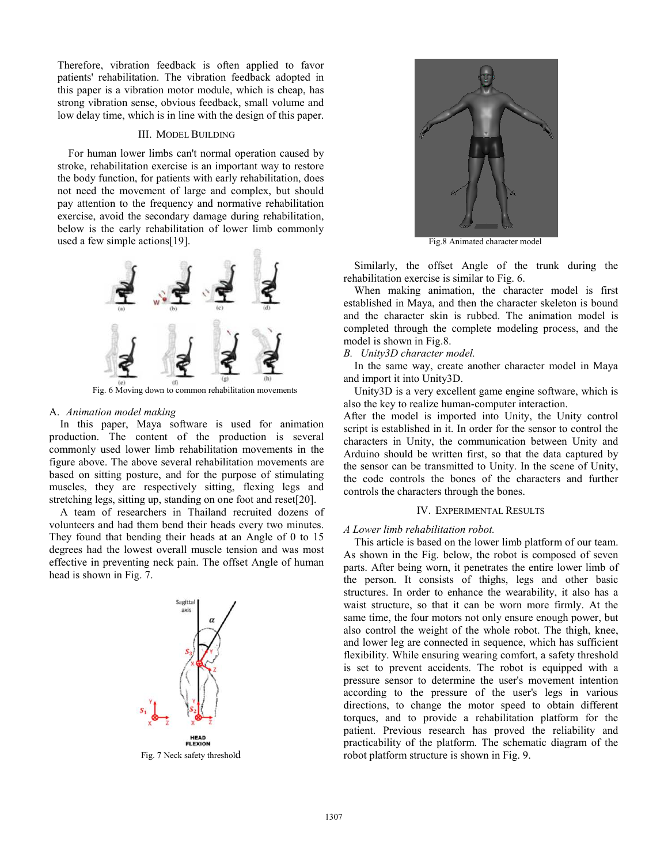Therefore, vibration feedback is often applied to favor patients' rehabilitation. The vibration feedback adopted in this paper is a vibration motor module, which is cheap, has strong vibration sense, obvious feedback, small volume and low delay time, which is in line with the design of this paper.

## III. MODEL BUILDING

For human lower limbs can't normal operation caused by stroke, rehabilitation exercise is an important way to restore the body function, for patients with early rehabilitation, does not need the movement of large and complex, but should pay attention to the frequency and normative rehabilitation exercise, avoid the secondary damage during rehabilitation, below is the early rehabilitation of lower limb commonly used a few simple actions[19].



Fig. 6 Moving down to common rehabilitation movements

## A. *Animation model making*

In this paper, Maya software is used for animation production. The content of the production is several commonly used lower limb rehabilitation movements in the figure above. The above several rehabilitation movements are based on sitting posture, and for the purpose of stimulating muscles, they are respectively sitting, flexing legs and stretching legs, sitting up, standing on one foot and reset[20].

A team of researchers in Thailand recruited dozens of volunteers and had them bend their heads every two minutes. They found that bending their heads at an Angle of 0 to 15 degrees had the lowest overall muscle tension and was most effective in preventing neck pain. The offset Angle of human head is shown in Fig. 7.



Fig. 7 Neck safety threshold



Fig.8 Animated character model

Similarly, the offset Angle of the trunk during the rehabilitation exercise is similar to Fig. 6.

When making animation, the character model is first established in Maya, and then the character skeleton is bound and the character skin is rubbed. The animation model is completed through the complete modeling process, and the model is shown in Fig.8.

*B. Unity3D character model.* 

In the same way, create another character model in Maya and import it into Unity3D.

Unity3D is a very excellent game engine software, which is also the key to realize human-computer interaction.

After the model is imported into Unity, the Unity control script is established in it. In order for the sensor to control the characters in Unity, the communication between Unity and Arduino should be written first, so that the data captured by the sensor can be transmitted to Unity. In the scene of Unity, the code controls the bones of the characters and further controls the characters through the bones.

# IV. EXPERIMENTAL RESULTS

*A Lower limb rehabilitation robot.* 

This article is based on the lower limb platform of our team. As shown in the Fig. below, the robot is composed of seven parts. After being worn, it penetrates the entire lower limb of the person. It consists of thighs, legs and other basic structures. In order to enhance the wearability, it also has a waist structure, so that it can be worn more firmly. At the same time, the four motors not only ensure enough power, but also control the weight of the whole robot. The thigh, knee, and lower leg are connected in sequence, which has sufficient flexibility. While ensuring wearing comfort, a safety threshold is set to prevent accidents. The robot is equipped with a pressure sensor to determine the user's movement intention according to the pressure of the user's legs in various directions, to change the motor speed to obtain different torques, and to provide a rehabilitation platform for the patient. Previous research has proved the reliability and practicability of the platform. The schematic diagram of the robot platform structure is shown in Fig. 9.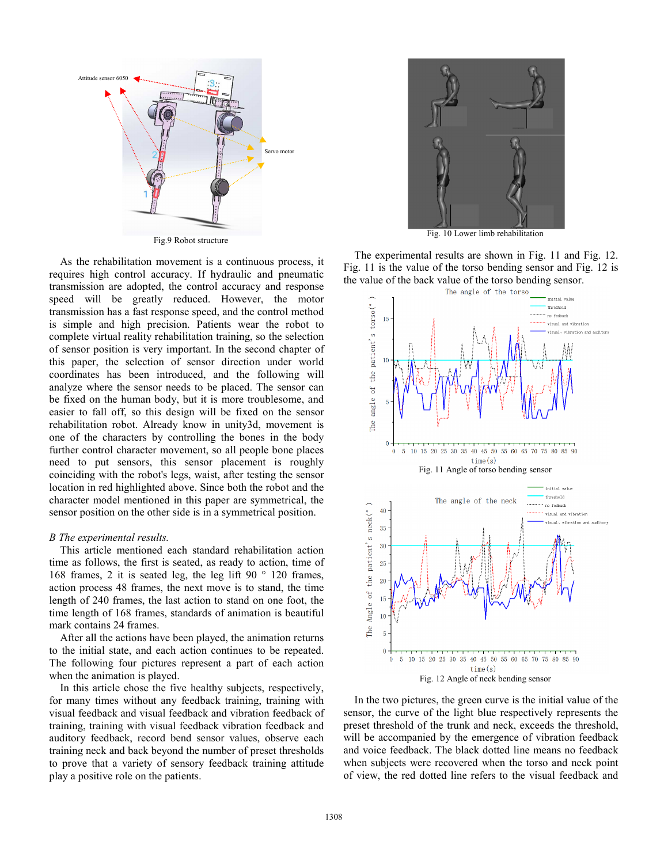

As the rehabilitation movement is a continuous process, it requires high control accuracy. If hydraulic and pneumatic transmission are adopted, the control accuracy and response speed will be greatly reduced. However, the motor transmission has a fast response speed, and the control method is simple and high precision. Patients wear the robot to complete virtual reality rehabilitation training, so the selection of sensor position is very important. In the second chapter of this paper, the selection of sensor direction under world coordinates has been introduced, and the following will analyze where the sensor needs to be placed. The sensor can be fixed on the human body, but it is more troublesome, and easier to fall off, so this design will be fixed on the sensor rehabilitation robot. Already know in unity3d, movement is one of the characters by controlling the bones in the body further control character movement, so all people bone places need to put sensors, this sensor placement is roughly coinciding with the robot's legs, waist, after testing the sensor location in red highlighted above. Since both the robot and the character model mentioned in this paper are symmetrical, the sensor position on the other side is in a symmetrical position.

#### *B The experimental results.*

This article mentioned each standard rehabilitation action time as follows, the first is seated, as ready to action, time of 168 frames, 2 it is seated leg, the leg lift 90 $\degree$  120 frames, action process 48 frames, the next move is to stand, the time length of 240 frames, the last action to stand on one foot, the time length of 168 frames, standards of animation is beautiful mark contains 24 frames.

After all the actions have been played, the animation returns to the initial state, and each action continues to be repeated. The following four pictures represent a part of each action when the animation is played.

In this article chose the five healthy subjects, respectively, for many times without any feedback training, training with visual feedback and visual feedback and vibration feedback of training, training with visual feedback vibration feedback and auditory feedback, record bend sensor values, observe each training neck and back beyond the number of preset thresholds to prove that a variety of sensory feedback training attitude play a positive role on the patients.



Fig. 10 Lower limb rehabilitation

The experimental results are shown in Fig. 11 and Fig. 12. Fig. 11 is the value of the torso bending sensor and Fig. 12 is the value of the back value of the torso bending sensor.



In the two pictures, the green curve is the initial value of the sensor, the curve of the light blue respectively represents the preset threshold of the trunk and neck, exceeds the threshold, will be accompanied by the emergence of vibration feedback and voice feedback. The black dotted line means no feedback when subjects were recovered when the torso and neck point of view, the red dotted line refers to the visual feedback and